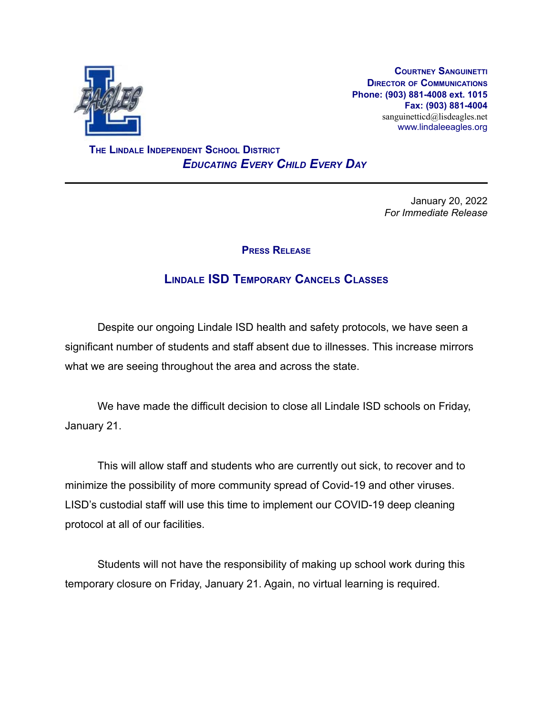

**COURTNEY SANGUINETTI DIRECTOR OF COMMUNICATIONS Phone: (903) 881-4008 ext. 1015 Fax: (903) 881-4004** sanguinetticd@lisdeagles.net www.lindaleeagles.org

**THE LINDALE INDEPENDENT SCHOOL DISTRICT** *EDUCATING EVERY CHILD EVERY DAY*

> January 20, 2022 *For Immediate Release*

## **PRESS RELEASE**

## **LINDALE ISD TEMPORARY CANCELS CLASSES**

Despite our ongoing Lindale ISD health and safety protocols, we have seen a significant number of students and staff absent due to illnesses. This increase mirrors what we are seeing throughout the area and across the state.

We have made the difficult decision to close all Lindale ISD schools on Friday, January 21.

This will allow staff and students who are currently out sick, to recover and to minimize the possibility of more community spread of Covid-19 and other viruses. LISD's custodial staff will use this time to implement our COVID-19 deep cleaning protocol at all of our facilities.

Students will not have the responsibility of making up school work during this temporary closure on Friday, January 21. Again, no virtual learning is required.